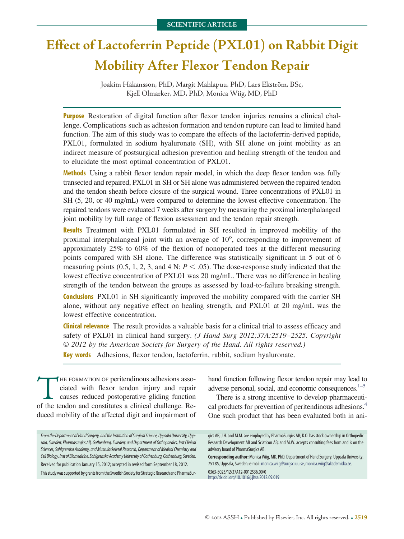# **Effect of Lactoferrin Peptide (PXL01) on Rabbit Digit Mobility After Flexor Tendon Repair**

Joakim Håkansson, PhD, Margit Mahlapuu, PhD, Lars Ekström, BSc, Kjell Olmarker, MD, PhD, Monica Wiig, MD, PhD

**Purpose** Restoration of digital function after flexor tendon injuries remains a clinical challenge. Complications such as adhesion formation and tendon rupture can lead to limited hand function. The aim of this study was to compare the effects of the lactoferrin-derived peptide, PXL01, formulated in sodium hyaluronate (SH), with SH alone on joint mobility as an indirect measure of postsurgical adhesion prevention and healing strength of the tendon and to elucidate the most optimal concentration of PXL01.

**Methods** Using a rabbit flexor tendon repair model, in which the deep flexor tendon was fully transected and repaired, PXL01 in SH or SH alone was administered between the repaired tendon and the tendon sheath before closure of the surgical wound. Three concentrations of PXL01 in SH (5, 20, or 40 mg/mL) were compared to determine the lowest effective concentration. The repaired tendons were evaluated 7 weeks after surgery by measuring the proximal interphalangeal joint mobility by full range of flexion assessment and the tendon repair strength.

**Results** Treatment with PXL01 formulated in SH resulted in improved mobility of the proximal interphalangeal joint with an average of 10°, corresponding to improvement of approximately 25% to 60% of the flexion of nonoperated toes at the different measuring points compared with SH alone. The difference was statistically significant in 5 out of 6 measuring points  $(0.5, 1, 2, 3, \text{ and } 4 \text{ N}; P < .05)$ . The dose-response study indicated that the lowest effective concentration of PXL01 was 20 mg/mL. There was no difference in healing strength of the tendon between the groups as assessed by load-to-failure breaking strength.

**Conclusions** PXL01 in SH significantly improved the mobility compared with the carrier SH alone, without any negative effect on healing strength, and PXL01 at 20 mg/mL was the lowest effective concentration.

**Clinical relevance** The result provides a valuable basis for a clinical trial to assess efficacy and safety of PXL01 in clinical hand surgery. *(J Hand Surg 2012;37A:2519*–*2525. Copyright © 2012 by the American Society for Surgery of the Hand. All rights reserved.)* **Key words** Adhesions, flexor tendon, lactoferrin, rabbit, sodium hyaluronate.

THE FORMATION OF peritendinous adhesions asso-<br>ciated with flexor tendon injury and repair<br>causes reduced postoperative gliding function<br>of the tendon and constitutes a clinical challenge. Reciated with flexor tendon injury and repair causes reduced postoperative gliding function of the tendon and constitutes a clinical challenge. Reduced mobility of the affected digit and impairment of

From the Department of Hand Surgery, and the Institution of Surgical Science, Uppsala University, Upp*sala, Sweden; Pharmasurgics AB, Gothenburg, Sweden; and Department of Orthopaedics, Inst Clinical Sciences, Sahlgrenska Academy, and Musculoskeletal Research, Department of Medical Chemistry and* Cell Biology, Inst of Biomedicine, Sahlgrenska Academy University of Gothenburg, Gothenburg, Sweden. Received for publication January 15, 2012; accepted in revised form September 18, 2012. This study was supported by grants from the Swedish Society for Strategic Research and PharmaSur-

hand function following flexor tendon repair may lead to adverse personal, social, and economic consequences. $1-5$ 

There is a strong incentive to develop pharmaceutical products for prevention of peritendinous adhesions.<sup>4</sup> One such product that has been evaluated both in ani-

gics AB; J.H. and M.M. are employed by PharmaSurgics AB; K.O. has stock ownership in Orthopedic Research Development AB and Sciaticon AB; and M.W. accepts consulting fees from and is on the advisory board of PharmaSurgics AB.

**Corresponding author:**MonicaWiig, MD, PhD, Department of Hand Surgery, Uppsala University, 751 85, Uppsala, Sweden; e-mail: monica.wiig@surgsci.uu.se, [monica.wiig@akademiska.se.](mailto:monica.wiig@akademiska.se)

0363-5023/12/37A12-0012\$36.00/0 <http://dx.doi.org/10.1016/j.jhsa.2012.09.019>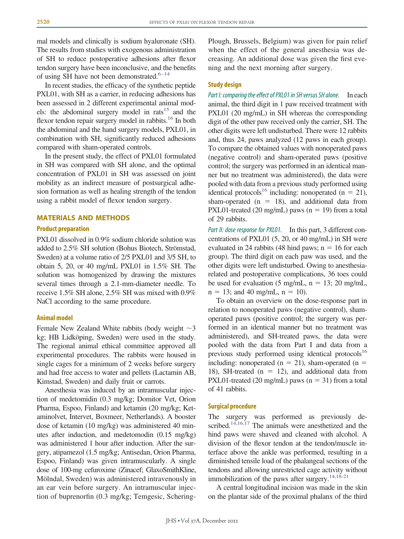mal models and clinically is sodium hyaluronate (SH). The results from studies with exogenous administration of SH to reduce postoperative adhesions after flexor tendon surgery have been inconclusive, and the benefits of using SH have not been demonstrated. $6-14$ 

In recent studies, the efficacy of the synthetic peptide PXL01, with SH as a carrier, in reducing adhesions has been assessed in 2 different experimental animal models: the abdominal surgery model in rats $15$  and the flexor tendon repair surgery model in rabbits.<sup>16</sup> In both the abdominal and the hand surgery models, PXL01, in combination with SH, significantly reduced adhesions compared with sham-operated controls.

In the present study, the effect of PXL01 formulated in SH was compared with SH alone, and the optimal concentration of PXL01 in SH was assessed on joint mobility as an indirect measure of postsurgical adhesion formation as well as healing strength of the tendon using a rabbit model of flexor tendon surgery.

# **MATERIALS AND METHODS**

## **Product preparation**

PXL01 dissolved in 0.9% sodium chloride solution was added to 2.5% SH solution (Bohus Biotech, Strömstad, Sweden) at a volume ratio of 2/5 PXL01 and 3/5 SH, to obtain 5, 20, or 40 mg/mL PXL01 in 1.5% SH. The solution was homogenized by drawing the mixtures several times through a 2.1-mm-diameter needle. To receive 1.5% SH alone, 2.5% SH was mixed with 0.9% NaCl according to the same procedure.

#### **Animal model**

Female New Zealand White rabbits (body weight  $\sim$  3 kg; HB Lidköping, Sweden) were used in the study. The regional animal ethical committee approved all experimental procedures. The rabbits were housed in single cages for a minimum of 2 weeks before surgery and had free access to water and pellets (Lactamin AB, Kimstad, Sweden) and daily fruit or carrots.

Anesthesia was induced by an intramuscular injection of medetomidin (0.3 mg/kg; Domitor Vet, Orion Pharma, Espoo, Finland) and ketamin (20 mg/kg; Ketaminolvet, Intervet, Boxmeer, Netherlands). A booster dose of ketamin (10 mg/kg) was administered 40 minutes after induction, and medetomodin (0.15 mg/kg) was administered 1 hour after induction. After the surgery, atipamezol (1.5 mg/kg; Antisedan, Orion Pharma, Espoo, Finland) was given intramuscularly. A single dose of 100-mg cefuroxime (Zinacef; GlaxoSmithKline, Mölndal, Sweden) was administered intravenously in an ear vein before surgery. An intramuscular injection of buprenorfin (0.3 mg/kg; Temgesic, ScheringPlough, Brussels, Belgium) was given for pain relief when the effect of the general anesthesia was decreasing. An additional dose was given the first evening and the next morning after surgery.

# **Study design**

Part *I:* comparing the effect of PXL01 in SH versus SH alone. In each animal, the third digit in 1 paw received treatment with PXL01 (20 mg/mL) in SH whereas the corresponding digit of the other paw received only the carrier, SH. The other digits were left undisturbed. There were 12 rabbits and, thus 24, paws analyzed (12 paws in each group). To compare the obtained values with nonoperated paws (negative control) and sham-operated paws (positive control; the surgery was performed in an identical manner but no treatment was administered), the data were pooled with data from a previous study performed using identical protocols<sup>16</sup> including: nonoperated (n = 21), sham-operated ( $n = 18$ ), and additional data from PXL01-treated (20 mg/mL) paws ( $n = 19$ ) from a total of 29 rabbits.

*Part II: dose response for PXL01.* In this part, 3 different concentrations of PXL01 (5, 20, or 40 mg/mL) in SH were evaluated in 24 rabbits (48 hind paws;  $n = 16$  for each group). The third digit on each paw was used, and the other digits were left undisturbed. Owing to anesthesiarelated and postoperative complications, 36 toes could be used for evaluation (5 mg/mL,  $n = 13$ ; 20 mg/mL,  $n = 13$ ; and 40 mg/mL,  $n = 10$ ).

To obtain an overview on the dose-response part in relation to nonoperated paws (negative control), shamoperated paws (positive control; the surgery was performed in an identical manner but no treatment was administered), and SH-treated paws, the data were pooled with the data from Part I and data from a previous study performed using identical protocols<sup>16</sup> including: nonoperated ( $n = 21$ ), sham-operated ( $n =$ 18), SH-treated ( $n = 12$ ), and additional data from PXL01-treated (20 mg/mL) paws ( $n = 31$ ) from a total of 41 rabbits.

#### **Surgical procedure**

The surgery was performed as previously described.<sup>14,16,17</sup> The animals were anesthetized and the hind paws were shaved and cleaned with alcohol. A division of the flexor tendon at the tendon/muscle interface above the ankle was performed, resulting in a diminished tensile load of the phalangeal sections of the tendons and allowing unrestricted cage activity without immobilization of the paws after surgery.<sup>14,18-21</sup>

A central longitudinal incision was made in the skin on the plantar side of the proximal phalanx of the third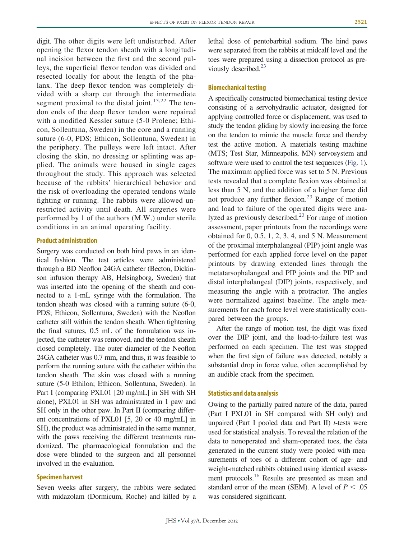digit. The other digits were left undisturbed. After opening the flexor tendon sheath with a longitudinal incision between the first and the second pulleys, the superficial flexor tendon was divided and resected locally for about the length of the phalanx. The deep flexor tendon was completely divided with a sharp cut through the intermediate segment proximal to the distal joint.<sup>[13,22](#page-5-6)</sup> The tendon ends of the deep flexor tendon were repaired with a modified Kessler suture (5-0 Prolene; Ethicon, Sollentuna, Sweden) in the core and a running suture (6-0, PDS; Ethicon, Sollentuna, Sweden) in the periphery. The pulleys were left intact. After closing the skin, no dressing or splinting was applied. The animals were housed in single cages throughout the study. This approach was selected because of the rabbits' hierarchical behavior and the risk of overloading the operated tendons while fighting or running. The rabbits were allowed unrestricted activity until death. All surgeries were performed by 1 of the authors (M.W.) under sterile conditions in an animal operating facility.

# **Product administration**

Surgery was conducted on both hind paws in an identical fashion. The test articles were administered through a BD Neoflon 24GA catheter (Becton, Dickinson infusion therapy AB, Helsingborg, Sweden) that was inserted into the opening of the sheath and connected to a 1-mL syringe with the formulation. The tendon sheath was closed with a running suture (6-0, PDS; Ethicon, Sollentuna, Sweden) with the Neoflon catheter still within the tendon sheath. When tightening the final sutures, 0.5 mL of the formulation was injected, the catheter was removed, and the tendon sheath closed completely. The outer diameter of the Neoflon 24GA catheter was 0.7 mm, and thus, it was feasible to perform the running suture with the catheter within the tendon sheath. The skin was closed with a running suture (5-0 Ethilon; Ethicon, Sollentuna, Sweden). In Part I (comparing PXL01 [20 mg/mL] in SH with SH alone), PXL01 in SH was administrated in 1 paw and SH only in the other paw. In Part II (comparing different concentrations of PXL01 [5, 20 or 40 mg/mL] in SH), the product was administrated in the same manner, with the paws receiving the different treatments randomized. The pharmacological formulation and the dose were blinded to the surgeon and all personnel involved in the evaluation.

# **Specimen harvest**

Seven weeks after surgery, the rabbits were sedated with midazolam (Dormicum, Roche) and killed by a

lethal dose of pentobarbital sodium. The hind paws were separated from the rabbits at midcalf level and the toes were prepared using a dissection protocol as previously described.<sup>23</sup>

#### **Biomechanical testing**

A specifically constructed biomechanical testing device consisting of a servohydraulic actuator, designed for applying controlled force or displacement, was used to study the tendon gliding by slowly increasing the force on the tendon to mimic the muscle force and thereby test the active motion. A materials testing machine (MTS; Test Star, Minneapolis, MN) servosystem and software were used to control the test sequences [\(Fig. 1\)](#page-3-0). The maximum applied force was set to 5 N. Previous tests revealed that a complete flexion was obtained at less than 5 N, and the addition of a higher force did not produce any further flexion.<sup>23</sup> Range of motion and load to failure of the operated digits were ana-lyzed as previously described.<sup>[23](#page-6-0)</sup> For range of motion assessment, paper printouts from the recordings were obtained for 0, 0.5, 1, 2, 3, 4, and 5 N. Measurement of the proximal interphalangeal (PIP) joint angle was performed for each applied force level on the paper printouts by drawing extended lines through the metatarsophalangeal and PIP joints and the PIP and distal interphalangeal (DIP) joints, respectively, and measuring the angle with a protractor. The angles were normalized against baseline. The angle measurements for each force level were statistically compared between the groups.

After the range of motion test, the digit was fixed over the DIP joint, and the load-to-failure test was performed on each specimen. The test was stopped when the first sign of failure was detected, notably a substantial drop in force value, often accomplished by an audible crack from the specimen.

#### **Statistics and data analysis**

Owing to the partially paired nature of the data, paired (Part I PXL01 in SH compared with SH only) and unpaired (Part I pooled data and Part II) *t*-tests were used for statistical analysis. To reveal the relation of the data to nonoperated and sham-operated toes, the data generated in the current study were pooled with measurements of toes of a different cohort of age- and weight-matched rabbits obtained using identical assessment protocols.<sup>16</sup> Results are presented as mean and standard error of the mean (SEM). A level of  $P < .05$ was considered significant.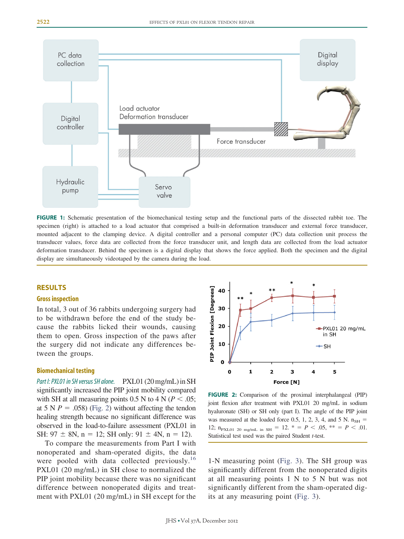

<span id="page-3-0"></span>**FIGURE 1:** Schematic presentation of the biomechanical testing setup and the functional parts of the dissected rabbit toe. The specimen (right) is attached to a load actuator that comprised a built-in deformation transducer and external force transducer, mounted adjacent to the clamping device. A digital controller and a personal computer (PC) data collection unit process the transducer values, force data are collected from the force transducer unit, and length data are collected from the load actuator deformation transducer. Behind the specimen is a digital display that shows the force applied. Both the specimen and the digital display are simultaneously videotaped by the camera during the load.

# **RESULTS**

# **Gross inspection**

In total, 3 out of 36 rabbits undergoing surgery had to be withdrawn before the end of the study because the rabbits licked their wounds, causing them to open. Gross inspection of the paws after the surgery did not indicate any differences between the groups.

# **Biomechanical testing**

Part *I: PXL01 in SH versus SH alone.* PXL01 (20 mg/mL) in SH significantly increased the PIP joint mobility compared with SH at all measuring points 0.5 N to 4 N ( $P < .05$ ; at 5 N  $P = .058$ ) [\(Fig. 2\)](#page-3-1) without affecting the tendon healing strength because no significant difference was observed in the load-to-failure assessment (PXL01 in SH:  $97 \pm 8N$ ,  $n = 12$ ; SH only:  $91 \pm 4N$ ,  $n = 12$ ).

To compare the measurements from Part I with nonoperated and sham-operated digits, the data were pooled with data collected previously.<sup>[16](#page-5-4)</sup> PXL01 (20 mg/mL) in SH close to normalized the PIP joint mobility because there was no significant difference between nonoperated digits and treatment with PXL01 (20 mg/mL) in SH except for the



<span id="page-3-1"></span>**FIGURE 2:** Comparison of the proximal interphalangeal (PIP) joint flexion after treatment with PXL01 20 mg/mL in sodium hyaluronate (SH) or SH only (part I). The angle of the PIP joint was measured at the loaded force 0.5, 1, 2, 3, 4, and 5 N.  $n_{SH}$  = 12;  $n_{\text{PXLO1 20 mg/mL in SH}} = 12. * = P < .05, ** = P < .01.$ Statistical test used was the paired Student *t*-test.

1-N measuring point [\(Fig. 3\)](#page-4-0). The SH group was significantly different from the nonoperated digits at all measuring points 1 N to 5 N but was not significantly different from the sham-operated digits at any measuring point [\(Fig. 3\)](#page-4-0).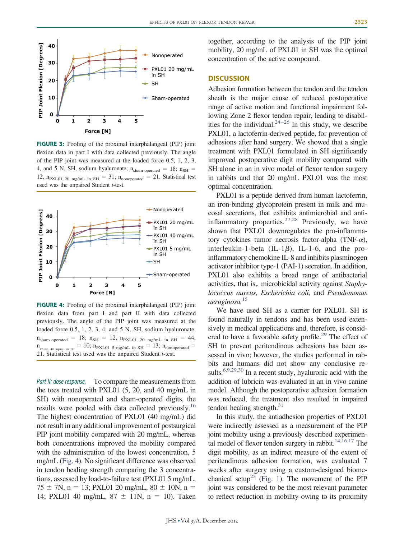

<span id="page-4-0"></span>**FIGURE 3:** Pooling of the proximal interphalangeal (PIP) joint flexion data in part I with data collected previously. The angle of the PIP joint was measured at the loaded force 0.5, 1, 2, 3, 4, and 5 N. SH, sodium hyaluronate;  $n_{sham\mbox{-}operated} = 18$ ;  $n_{SH}$  = 12,  $n_{\text{PXLO1}}$  20 mg/mL in SH = 31;  $n_{\text{nonoperated}}$  = 21. Statistical test used was the unpaired Student *t*-test.



<span id="page-4-1"></span>**FIGURE 4:** Pooling of the proximal interphalangeal (PIP) joint flexion data from part I and part II with data collected previously. The angle of the PIP joint was measured at the loaded force 0.5, 1, 2, 3, 4, and 5 N. SH, sodium hyaluronate;  $n_{sham-operated}$  = 18;  $n_{SH}$  = 12,  $n_{\text{PXLO1 20 mg/mL in SH}}$  = 44;  $n_{\text{PKLO1 40 mg/mL in SH}} = 10$ ;  $n_{\text{PXLO1 5 mg/mL in SH}} = 13$ ;  $n_{\text{nonoperated}} =$ 21. Statistical test used was the unpaired Student *t*-test.

Part II: dose response. To compare the measurements from the toes treated with PXL01 (5, 20, and 40 mg/mL in SH) with nonoperated and sham-operated digits, the results were pooled with data collected previously[.16](#page-5-4) The highest concentration of PXL01 (40 mg/mL) did not result in any additional improvement of postsurgical PIP joint mobility compared with 20 mg/mL, whereas both concentrations improved the mobility compared with the administration of the lowest concentration, 5 mg/mL [\(Fig. 4\)](#page-4-1). No significant difference was observed in tendon healing strength comparing the 3 concentrations, assessed by load-to-failure test (PXL01 5 mg/mL,  $75 \pm 7N$ , n = 13; PXL01 20 mg/mL, 80  $\pm$  10N, n = 14; PXL01 40 mg/mL,  $87 \pm 11$ N, n = 10). Taken

together, according to the analysis of the PIP joint mobility, 20 mg/mL of PXL01 in SH was the optimal concentration of the active compound.

# **DISCUSSION**

Adhesion formation between the tendon and the tendon sheath is the major cause of reduced postoperative range of active motion and functional impairment following Zone 2 flexor tendon repair, leading to disabilities for the individual.<sup>24-26</sup> In this study, we describe PXL01, a lactoferrin-derived peptide, for prevention of adhesions after hand surgery. We showed that a single treatment with PXL01 formulated in SH significantly improved postoperative digit mobility compared with SH alone in an in vivo model of flexor tendon surgery in rabbits and that 20 mg/mL PXL01 was the most optimal concentration.

PXL01 is a peptide derived from human lactoferrin, an iron-binding glycoprotein present in milk and mucosal secretions, that exhibits antimicrobial and anti-inflammatory properties.<sup>[27,28](#page-6-2)</sup> Previously, we have shown that PXL01 downregulates the pro-inflammatory cytokines tumor necrosis factor-alpha (TNF- $\alpha$ ), interleukin-1-beta  $(IL-1\beta)$ , IL-1-6, and the proinflammatory chemokine IL-8 and inhibits plasminogen activator inhibitor type-1 (PAI-1) secretion. In addition, PXL01 also exhibits a broad range of antibacterial activities, that is,. microbicidal activity against *Staphylococcus aureus, Escherichia coli,* and *Pseudomonas aeruginosa.*[15](#page-5-3)

We have used SH as a carrier for PXL01. SH is found naturally in tendons and has been used extensively in medical applications and, therefore, is considered to have a favorable safety profile.<sup>29</sup> The effect of SH to prevent peritendinous adhesions has been assessed in vivo; however, the studies performed in rabbits and humans did not show any conclusive results.<sup>6,9,29,30</sup> In a recent study, hyaluronic acid with the addition of lubricin was evaluated in an in vivo canine model. Although the postoperative adhesion formation was reduced, the treatment also resulted in impaired tendon healing strength. $31$ 

In this study, the antiadhesion properties of PXL01 were indirectly assessed as a measurement of the PIP joint mobility using a previously described experimental model of flexor tendon surgery in rabbit. $14,16,17$  The digit mobility, as an indirect measure of the extent of peritendinous adhesion formation, was evaluated 7 weeks after surgery using a custom-designed biome-chanical setup<sup>23</sup> [\(Fig. 1\)](#page-3-0). The movement of the PIP joint was considered to be the most relevant parameter to reflect reduction in mobility owing to its proximity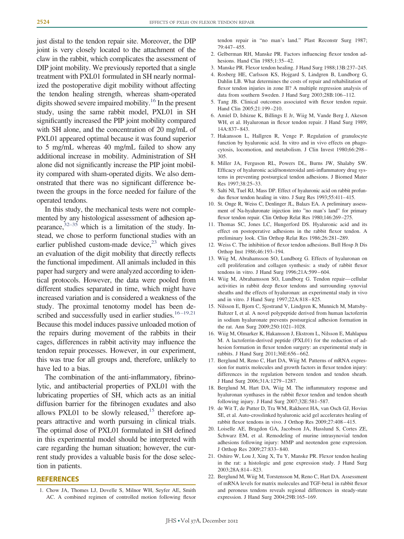just distal to the tendon repair site. Moreover, the DIP joint is very closely located to the attachment of the claw in the rabbit, which complicates the assessment of DIP joint mobility. We previously reported that a single treatment with PXL01 formulated in SH nearly normalized the postoperative digit mobility without affecting the tendon healing strength, whereas sham-operated digits showed severe impaired mobility.<sup>16</sup> In the present study, using the same rabbit model, PXL01 in SH significantly increased the PIP joint mobility compared with SH alone, and the concentration of 20 mg/mL of PXL01 appeared optimal because it was found superior to 5 mg/mL whereas 40 mg/mL failed to show any additional increase in mobility. Administration of SH alone did not significantly increase the PIP joint mobility compared with sham-operated digits. We also demonstrated that there was no significant difference between the groups in the force needed for failure of the operated tendons.

In this study, the mechanical tests were not complemented by any histological assessment of adhesion appearance,  $32-35$  which is a limitation of the study. Instead, we chose to perform functional studies with an earlier published custom-made device, $2<sup>3</sup>$  which gives an evaluation of the digit mobility that directly reflects the functional impediment. All animals included in this paper had surgery and were analyzed according to identical protocols. However, the data were pooled from different studies separated in time, which might have increased variation and is considered a weakness of the study. The proximal tenotomy model has been described and successfully used in earlier studies.<sup>16-19,21</sup> Because this model induces passive unloaded motion of the repairs during movement of the rabbits in their cages, differences in rabbit activity may influence the tendon repair processes. However, in our experiment, this was true for all groups and, therefore, unlikely to have led to a bias.

The combination of the anti-inflammatory, fibrinolytic, and antibacterial properties of PXL01 with the lubricating properties of SH, which acts as an initial diffusion barrier for the fibrinogen exudates and also allows PXL01 to be slowly released,  $15$  therefore appears attractive and worth pursuing in clinical trials. The optimal dose of PXL01 formulated in SH defined in this experimental model should be interpreted with care regarding the human situation; however, the current study provides a valuable basis for the dose selection in patients.

#### <span id="page-5-0"></span>**REFERENCES**

1. Chow JA, Thomes LJ, Dovelle S, Milnor WH, Seyfer AE, Smith AC. A combined regimen of controlled motion following flexor

tendon repair in "no man's land." Plast Reconstr Surg 1987; 79:447– 455.

- 2. Gelberman RH, Manske PR. Factors influencing flexor tendon adhesions. Hand Clin 1985;1:35-42.
- <span id="page-5-1"></span>3. Manske PR. Flexor tendon healing. J Hand Surg 1988;13B:237–245.
- 4. Rosberg HE, Carlsson KS, Hojgard S, Lindgren B, Lundborg G, Dahlin LB. What determines the costs of repair and rehabilitation of flexor tendon injuries in zone II? A multiple regression analysis of data from southern Sweden. J Hand Surg 2003;28B:106-112.
- <span id="page-5-2"></span>5. Tang JB. Clinical outcomes associated with flexor tendon repair. Hand Clin 2005;21:199-210.
- 6. Amiel D, Ishizue K, Billings E Jr, Wiig M, Vande Berg J, Akeson WH, et al. Hyaluronan in flexor tendon repair. J Hand Surg 1989; 14A:837– 843.
- 7. Hakansson L, Hallgren R, Venge P. Regulation of granulocyte function by hyaluronic acid. In vitro and in vivo effects on phagocytosis, locomotion, and metabolism. J Clin Invest 1980;66:298 – 305.
- 8. Miller JA, Ferguson RL, Powers DL, Burns JW, Shalaby SW. Efficacy of hyaluronic acid/nonsteroidal anti-inflammatory drug systems in preventing postsurgical tendon adhesions. J Biomed Mater Res 1997;38:25–33.
- 9. Salti NI, Tuel RJ, Mass DP. Effect of hyaluronic acid on rabbit profundus flexor tendon healing in vitro. J Surg Res 1993;55:411-415.
- 10. St. Onge R, Weiss C, Denlinger JL, Balazs EA. A preliminary assessment of Na-hyaluronate injection into "no man's land" for primary flexor tendon repair. Clin Orthop Relat Res 1980;146:269 –275.
- 11. Thomas SC, Jones LC, Hungerford DS. Hyaluronic acid and its effect on postoperative adhesions in the rabbit flexor tendon. A preliminary look. Clin Orthop Relat Res 1986;26:281–289.
- <span id="page-5-6"></span>12. Weiss C. The inhibition of flexor tendon adhesions. Bull Hosp Jt Dis Orthop Inst 1986;46:193–194.
- 13. Wiig M, Abrahamsson SO, Lundborg G. Effects of hyaluronan on cell proliferation and collagen synthesis: a study of rabbit flexor tendons in vitro. J Hand Surg 1996;21A:599 – 604.
- <span id="page-5-5"></span>14. Wiig M, Abrahamsson SO, Lundborg G. Tendon repair— cellular activities in rabbit deep flexor tendons and surrounding synovial sheaths and the effects of hyaluronan: an experimental study in vivo and in vitro. J Hand Surg 1997;22A:818 – 825.
- <span id="page-5-3"></span>15. Nilsson E, Bjorn C, Sjostrand V, Lindgren K, Munnich M, Mattsby-Baltzer I, et al. A novel polypeptide derived from human lactoferrin in sodium hyaluronate prevents postsurgical adhesion formation in the rat. Ann Surg 2009;250:1021–1028.
- <span id="page-5-4"></span>16. Wiig M, Olmarker K, Hakansson J, Ekstrom L, Nilsson E, Mahlapuu M. A lactoferrin-derived peptide (PXL01) for the reduction of adhesion formation in flexor tendon surgery: an experimental study in rabbits. J Hand Surg 2011;36E:656 – 662.
- 17. Berglund M, Reno C, Hart DA, Wiig M. Patterns of mRNA expression for matrix molecules and growth factors in flexor tendon injury: differences in the regulation between tendon and tendon sheath. J Hand Surg 2006;31A:1279 –1287.
- 18. Berglund M, Hart DA, Wiig M. The inflammatory response and hyaluronan synthases in the rabbit flexor tendon and tendon sheath following injury. J Hand Surg 2007;32E:581–587.
- 19. de Wit T, de Putter D, Tra WM, Rakhorst HA, van Osch GJ, Hovius SE, et al. Auto-crosslinked hyaluronic acid gel accelerates healing of rabbit flexor tendons in vivo. J Orthop Res 2009;27:408 – 415.
- 20. Loiselle AE, Bragdon GA, Jacobson JA, Hasslund S, Cortes ZE, Schwarz EM, et al. Remodeling of murine intrasynovial tendon adhesions following injury: MMP and neotendon gene expression. J Orthop Res 2009;27:833– 840.
- 21. Oshiro W, Lou J, Xing X, Tu Y, Manske PR. Flexor tendon healing in the rat: a histologic and gene expression study. J Hand Surg 2003;28A:814 – 823.
- 22. Berglund M, Wiig M, Torstensson M, Reno C, Hart DA. Assessment of mRNA levels for matrix molecules and TGF-beta1 in rabbit flexor and peroneus tendons reveals regional differences in steady-state expression. J Hand Surg 2004;29B:165–169.